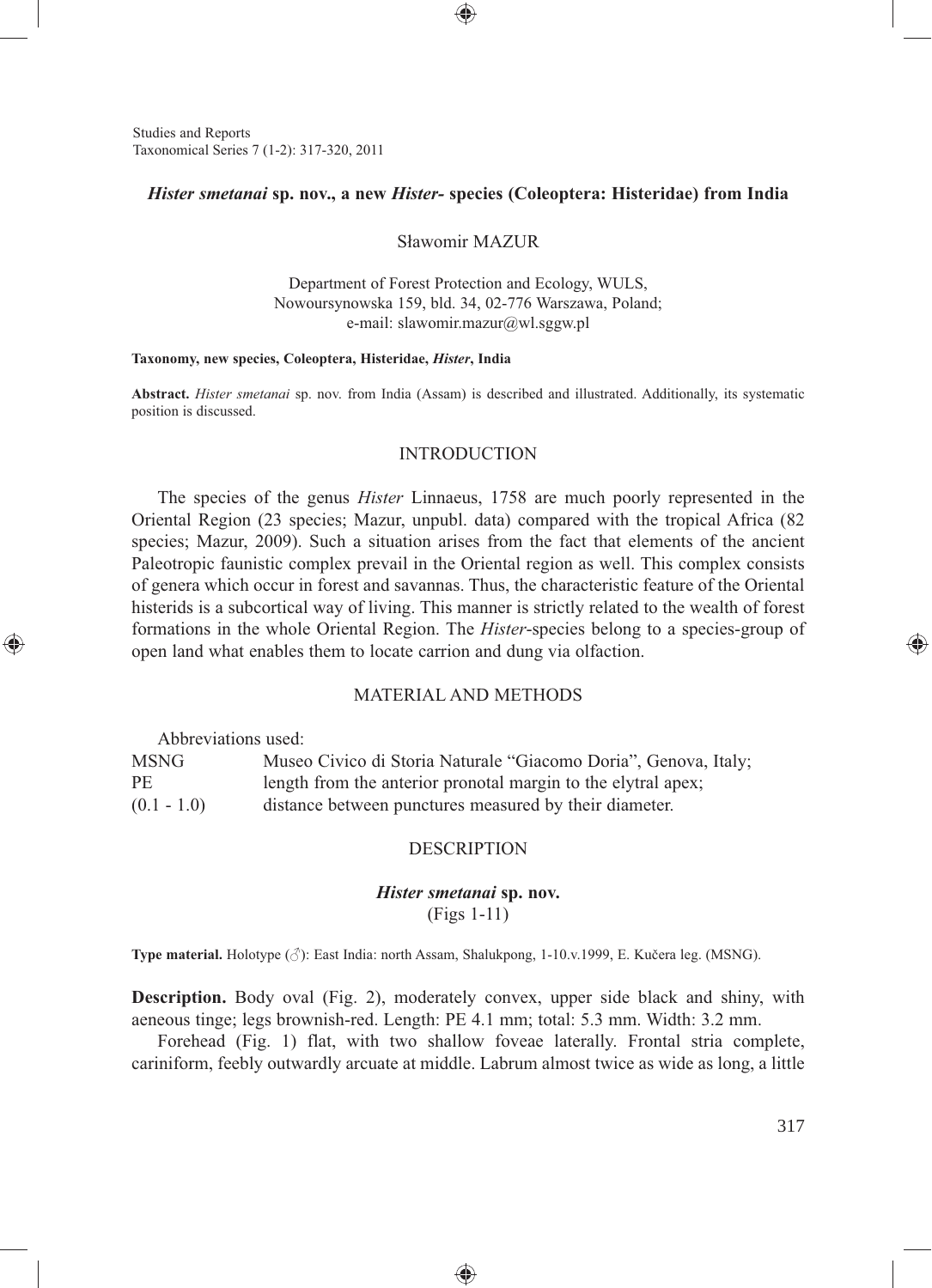Studies and Reports Taxonomical Series 7 (1-2): 317-320, 2011

### *Hister smetanai* **sp. nov., a new** *Hister-* **species (Coleoptera: Histeridae) from India**

⊕

Sławomir MAZUR

Department of Forest Protection and Ecology, WULS, Nowoursynowska 159, bld. 34, 02-776 Warszawa, Poland; e-mail: slawomir.mazur@wl.sggw.pl

#### **Taxonomy, new species, Coleoptera, Histeridae,** *Hister***, India**

**Abstract.** *Hister smetanai* sp. nov. from India (Assam) is described and illustrated. Additionally, its systematic position is discussed.

## INTRODUCTION

The species of the genus *Hister* Linnaeus, 1758 are much poorly represented in the Oriental Region (23 species; Mazur, unpubl. data) compared with the tropical Africa (82 species; Mazur, 2009). Such a situation arises from the fact that elements of the ancient Paleotropic faunistic complex prevail in the Oriental region as well. This complex consists of genera which occur in forest and savannas. Thus, the characteristic feature of the Oriental histerids is a subcortical way of living. This manner is strictly related to the wealth of forest formations in the whole Oriental Region. The *Hister*-species belong to a species-group of open land what enables them to locate carrion and dung via olfaction.

# MATERIAL AND METHODS

Abbreviations used:

⊕

MSNG Museo Civico di Storia Naturale "Giacomo Doria", Genova, Italy; PE length from the anterior pronotal margin to the elytral apex; (0.1 - 1.0) distance between punctures measured by their diameter.

### DESCRIPTION

# *Hister smetanai* **sp. nov.** (Figs 1-11)

**Type material.** Holotype (♂): East India: north Assam, Shalukpong, 1-10.v.1999, E. Kučera leg. (MSNG).

**Description.** Body oval (Fig. 2), moderately convex, upper side black and shiny, with aeneous tinge; legs brownish-red. Length: PE 4.1 mm; total: 5.3 mm. Width: 3.2 mm.

Forehead (Fig. 1) flat, with two shallow foveae laterally. Frontal stria complete, cariniform, feebly outwardly arcuate at middle. Labrum almost twice as wide as long, a little

♠

⊕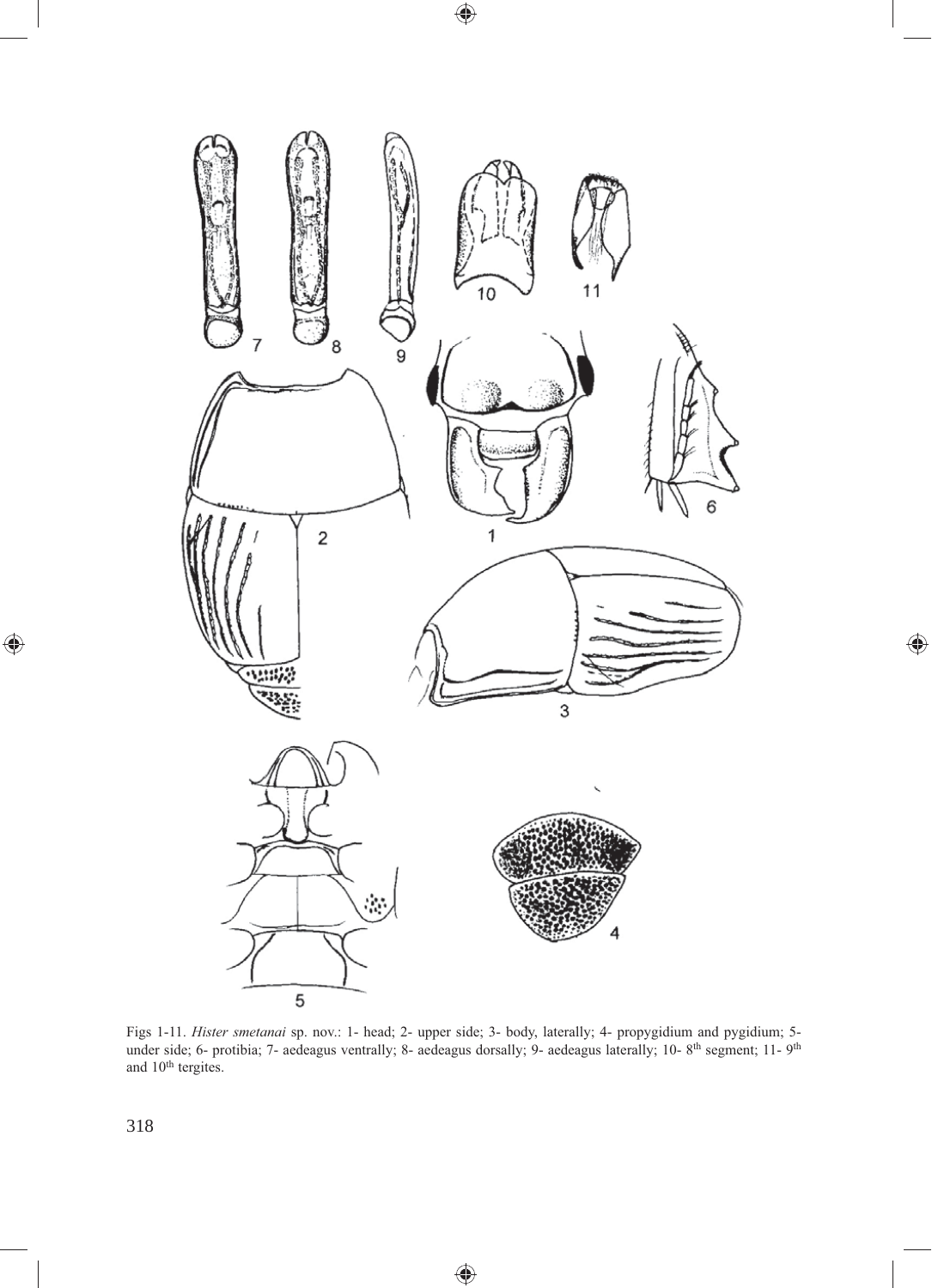

 $\bigoplus$ 

 $\bigoplus$ 

Figs 1-11. *Hister smetanai* sp. nov.: 1- head; 2- upper side; 3- body, laterally; 4- propygidium and pygidium; 5 under side; 6- protibia; 7- aedeagus ventrally; 8- aedeagus dorsally; 9- aedeagus laterally; 10-8<sup>th</sup> segment; 11-9<sup>th</sup> and 10<sup>th</sup> tergites.

⊕

318

 $\bigoplus$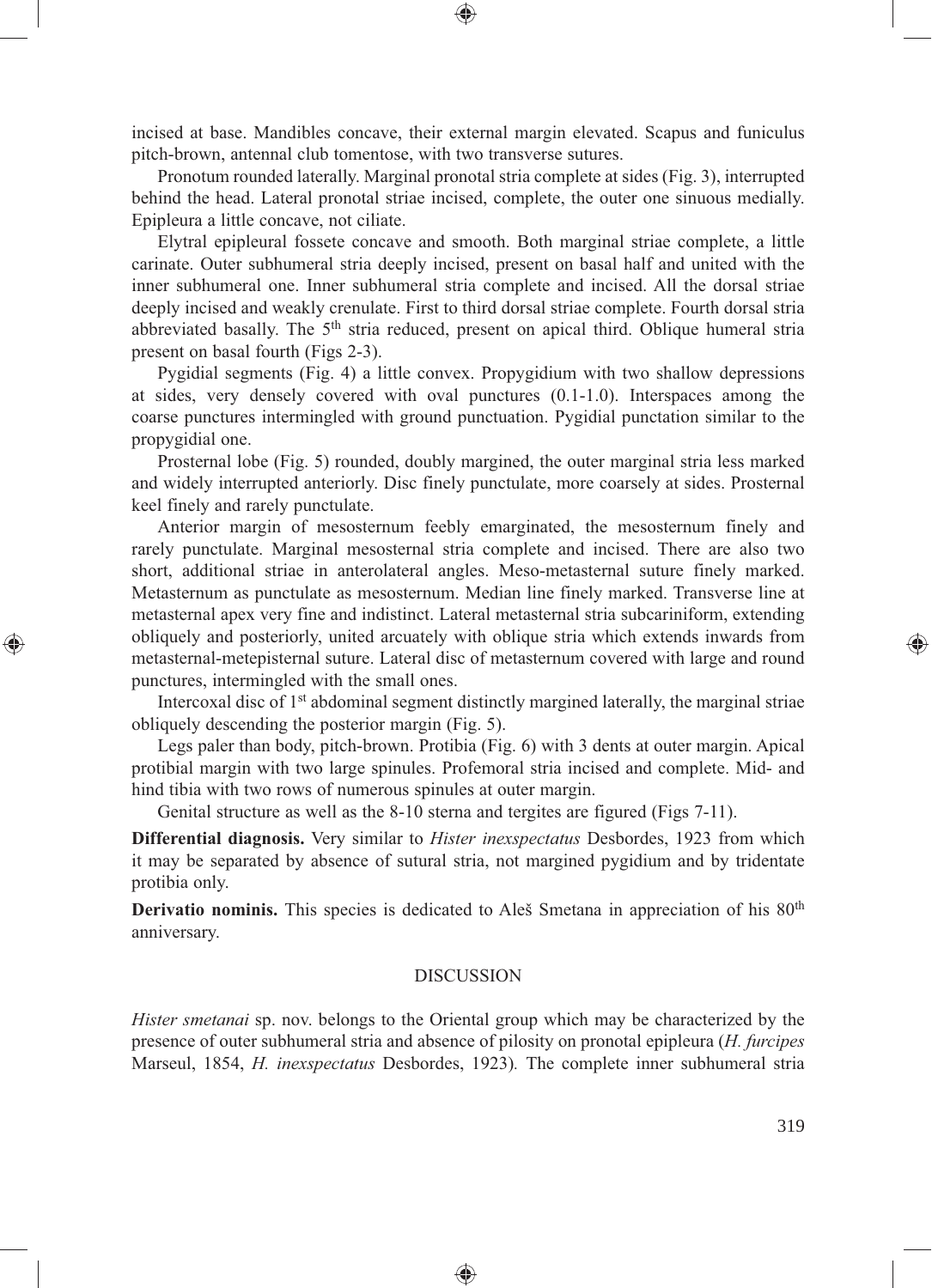incised at base. Mandibles concave, their external margin elevated. Scapus and funiculus pitch-brown, antennal club tomentose, with two transverse sutures.

⊕

Pronotum rounded laterally. Marginal pronotal stria complete at sides (Fig. 3), interrupted behind the head. Lateral pronotal striae incised, complete, the outer one sinuous medially. Epipleura a little concave, not ciliate.

Elytral epipleural fossete concave and smooth. Both marginal striae complete, a little carinate. Outer subhumeral stria deeply incised, present on basal half and united with the inner subhumeral one. Inner subhumeral stria complete and incised. All the dorsal striae deeply incised and weakly crenulate. First to third dorsal striae complete. Fourth dorsal stria abbreviated basally. The 5<sup>th</sup> stria reduced, present on apical third. Oblique humeral stria present on basal fourth (Figs 2-3).

Pygidial segments (Fig. 4) a little convex. Propygidium with two shallow depressions at sides, very densely covered with oval punctures (0.1-1.0). Interspaces among the coarse punctures intermingled with ground punctuation. Pygidial punctation similar to the propygidial one.

Prosternal lobe (Fig. 5) rounded, doubly margined, the outer marginal stria less marked and widely interrupted anteriorly. Disc finely punctulate, more coarsely at sides. Prosternal keel finely and rarely punctulate.

Anterior margin of mesosternum feebly emarginated, the mesosternum finely and rarely punctulate. Marginal mesosternal stria complete and incised. There are also two short, additional striae in anterolateral angles. Meso-metasternal suture finely marked. Metasternum as punctulate as mesosternum. Median line finely marked. Transverse line at metasternal apex very fine and indistinct. Lateral metasternal stria subcariniform, extending obliquely and posteriorly, united arcuately with oblique stria which extends inwards from metasternal-metepisternal suture. Lateral disc of metasternum covered with large and round punctures, intermingled with the small ones.

⊕

Intercoxal disc of 1st abdominal segment distinctly margined laterally, the marginal striae obliquely descending the posterior margin (Fig. 5).

Legs paler than body, pitch-brown. Protibia (Fig. 6) with 3 dents at outer margin. Apical protibial margin with two large spinules. Profemoral stria incised and complete. Mid- and hind tibia with two rows of numerous spinules at outer margin.

Genital structure as well as the 8-10 sterna and tergites are figured (Figs 7-11).

**Differential diagnosis.** Very similar to *Hister inexspectatus* Desbordes, 1923 from which it may be separated by absence of sutural stria, not margined pygidium and by tridentate protibia only.

**Derivatio nominis.** This species is dedicated to Aleš Smetana in appreciation of his 80<sup>th</sup> anniversary.

#### DISCUSSION

*Hister smetanai* sp. nov. belongs to the Oriental group which may be characterized by the presence of outer subhumeral stria and absence of pilosity on pronotal epipleura (*H. furcipes* Marseul, 1854, *H. inexspectatus* Desbordes, 1923)*.* The complete inner subhumeral stria

♠

⊕